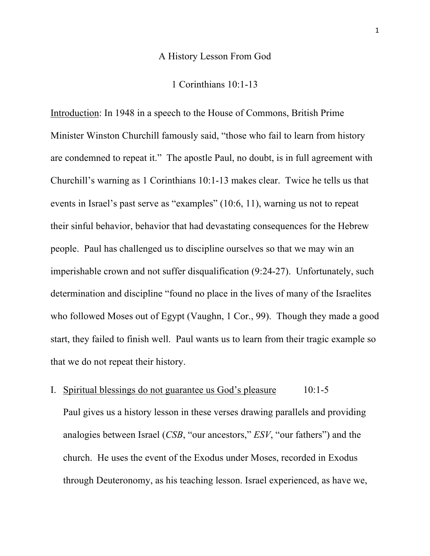#### A History Lesson From God

1 Corinthians 10:1-13

Introduction: In 1948 in a speech to the House of Commons, British Prime Minister Winston Churchill famously said, "those who fail to learn from history are condemned to repeat it." The apostle Paul, no doubt, is in full agreement with Churchill's warning as 1 Corinthians 10:1-13 makes clear. Twice he tells us that events in Israel's past serve as "examples" (10:6, 11), warning us not to repeat their sinful behavior, behavior that had devastating consequences for the Hebrew people. Paul has challenged us to discipline ourselves so that we may win an imperishable crown and not suffer disqualification (9:24-27). Unfortunately, such determination and discipline "found no place in the lives of many of the Israelites who followed Moses out of Egypt (Vaughn, 1 Cor., 99). Though they made a good start, they failed to finish well. Paul wants us to learn from their tragic example so that we do not repeat their history.

# I. Spiritual blessings do not guarantee us God's pleasure 10:1-5

Paul gives us a history lesson in these verses drawing parallels and providing analogies between Israel (*CSB*, "our ancestors," *ESV*, "our fathers") and the church. He uses the event of the Exodus under Moses, recorded in Exodus through Deuteronomy, as his teaching lesson. Israel experienced, as have we,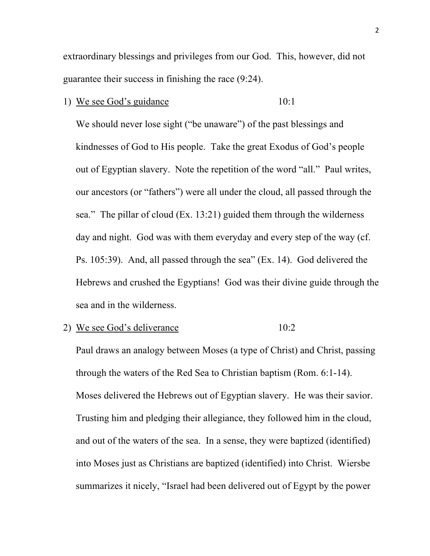extraordinary blessings and privileges from our God. This, however, did not guarantee their success in finishing the race (9:24).

1) We see God's guidance 10:1

We should never lose sight ("be unaware") of the past blessings and kindnesses of God to His people. Take the great Exodus of God's people out of Egyptian slavery. Note the repetition of the word "all." Paul writes, our ancestors (or "fathers") were all under the cloud, all passed through the sea." The pillar of cloud (Ex. 13:21) guided them through the wilderness day and night. God was with them everyday and every step of the way (cf. Ps. 105:39). And, all passed through the sea" (Ex. 14). God delivered the Hebrews and crushed the Egyptians! God was their divine guide through the sea and in the wilderness.

2) We see God's deliverance 10:2

Paul draws an analogy between Moses (a type of Christ) and Christ, passing through the waters of the Red Sea to Christian baptism (Rom. 6:1-14). Moses delivered the Hebrews out of Egyptian slavery. He was their savior. Trusting him and pledging their allegiance, they followed him in the cloud, and out of the waters of the sea. In a sense, they were baptized (identified) into Moses just as Christians are baptized (identified) into Christ. Wiersbe summarizes it nicely, "Israel had been delivered out of Egypt by the power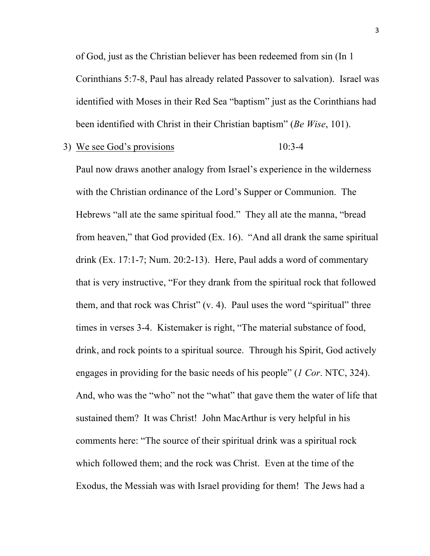of God, just as the Christian believer has been redeemed from sin (In 1 Corinthians 5:7-8, Paul has already related Passover to salvation). Israel was identified with Moses in their Red Sea "baptism" just as the Corinthians had been identified with Christ in their Christian baptism" (*Be Wise*, 101).

## 3) We see God's provisions 10:3-4

Paul now draws another analogy from Israel's experience in the wilderness with the Christian ordinance of the Lord's Supper or Communion. The Hebrews "all ate the same spiritual food." They all ate the manna, "bread from heaven," that God provided (Ex. 16). "And all drank the same spiritual drink (Ex. 17:1-7; Num. 20:2-13). Here, Paul adds a word of commentary that is very instructive, "For they drank from the spiritual rock that followed them, and that rock was Christ"  $(v, 4)$ . Paul uses the word "spiritual" three times in verses 3-4. Kistemaker is right, "The material substance of food, drink, and rock points to a spiritual source. Through his Spirit, God actively engages in providing for the basic needs of his people" (*1 Cor*. NTC, 324). And, who was the "who" not the "what" that gave them the water of life that sustained them? It was Christ! John MacArthur is very helpful in his comments here: "The source of their spiritual drink was a spiritual rock which followed them; and the rock was Christ. Even at the time of the Exodus, the Messiah was with Israel providing for them! The Jews had a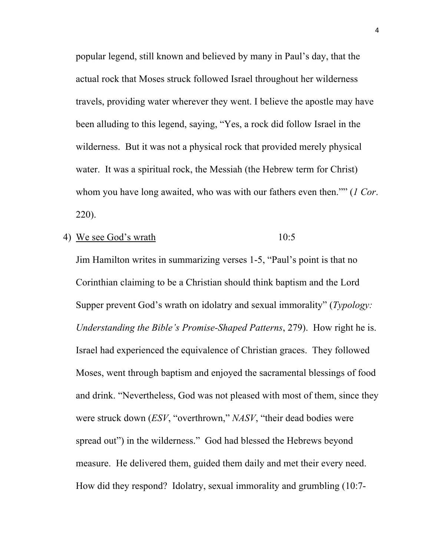popular legend, still known and believed by many in Paul's day, that the actual rock that Moses struck followed Israel throughout her wilderness travels, providing water wherever they went. I believe the apostle may have been alluding to this legend, saying, "Yes, a rock did follow Israel in the wilderness. But it was not a physical rock that provided merely physical water. It was a spiritual rock, the Messiah (the Hebrew term for Christ) whom you have long awaited, who was with our fathers even then."" (*1 Cor*. 220).

4) We see God's wrath 10:5

Jim Hamilton writes in summarizing verses 1-5, "Paul's point is that no Corinthian claiming to be a Christian should think baptism and the Lord Supper prevent God's wrath on idolatry and sexual immorality" (*Typology: Understanding the Bible's Promise-Shaped Patterns*, 279). How right he is. Israel had experienced the equivalence of Christian graces. They followed Moses, went through baptism and enjoyed the sacramental blessings of food and drink. "Nevertheless, God was not pleased with most of them, since they were struck down (*ESV*, "overthrown," *NASV*, "their dead bodies were spread out") in the wilderness." God had blessed the Hebrews beyond measure. He delivered them, guided them daily and met their every need. How did they respond? Idolatry, sexual immorality and grumbling (10:7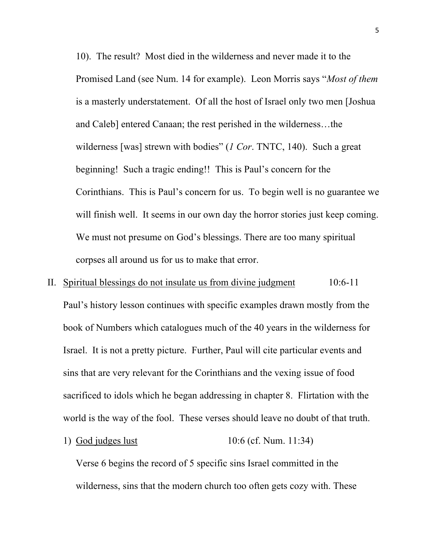10). The result? Most died in the wilderness and never made it to the Promised Land (see Num. 14 for example). Leon Morris says "*Most of them* is a masterly understatement. Of all the host of Israel only two men [Joshua and Caleb] entered Canaan; the rest perished in the wilderness…the wilderness [was] strewn with bodies" (*1 Cor*. TNTC, 140). Such a great beginning! Such a tragic ending!! This is Paul's concern for the Corinthians. This is Paul's concern for us. To begin well is no guarantee we will finish well. It seems in our own day the horror stories just keep coming. We must not presume on God's blessings. There are too many spiritual corpses all around us for us to make that error.

- II. Spiritual blessings do not insulate us from divine judgment 10:6-11 Paul's history lesson continues with specific examples drawn mostly from the book of Numbers which catalogues much of the 40 years in the wilderness for Israel. It is not a pretty picture. Further, Paul will cite particular events and sins that are very relevant for the Corinthians and the vexing issue of food sacrificed to idols which he began addressing in chapter 8. Flirtation with the world is the way of the fool. These verses should leave no doubt of that truth.
	- 1) God judges lust 10:6 (cf. Num. 11:34)

Verse 6 begins the record of 5 specific sins Israel committed in the wilderness, sins that the modern church too often gets cozy with. These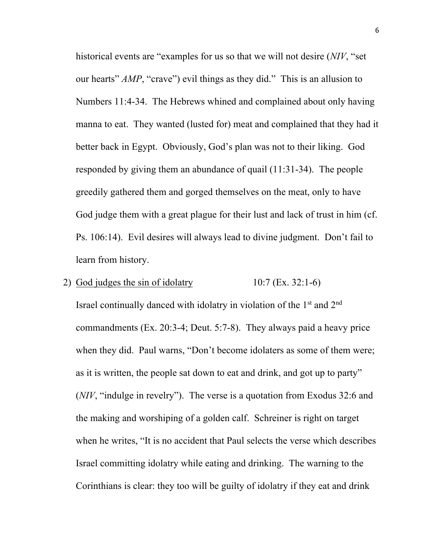historical events are "examples for us so that we will not desire (*NIV*, "set our hearts" *AMP*, "crave") evil things as they did." This is an allusion to Numbers 11:4-34. The Hebrews whined and complained about only having manna to eat. They wanted (lusted for) meat and complained that they had it better back in Egypt. Obviously, God's plan was not to their liking. God responded by giving them an abundance of quail (11:31-34). The people greedily gathered them and gorged themselves on the meat, only to have God judge them with a great plague for their lust and lack of trust in him (cf. Ps. 106:14). Evil desires will always lead to divine judgment. Don't fail to learn from history.

# 2) God judges the sin of idolatry  $10:7$  (Ex. 32:1-6)

Israel continually danced with idolatry in violation of the  $1<sup>st</sup>$  and  $2<sup>nd</sup>$ commandments (Ex. 20:3-4; Deut. 5:7-8). They always paid a heavy price when they did. Paul warns, "Don't become idolaters as some of them were; as it is written, the people sat down to eat and drink, and got up to party" (*NIV*, "indulge in revelry"). The verse is a quotation from Exodus 32:6 and the making and worshiping of a golden calf. Schreiner is right on target when he writes, "It is no accident that Paul selects the verse which describes Israel committing idolatry while eating and drinking. The warning to the Corinthians is clear: they too will be guilty of idolatry if they eat and drink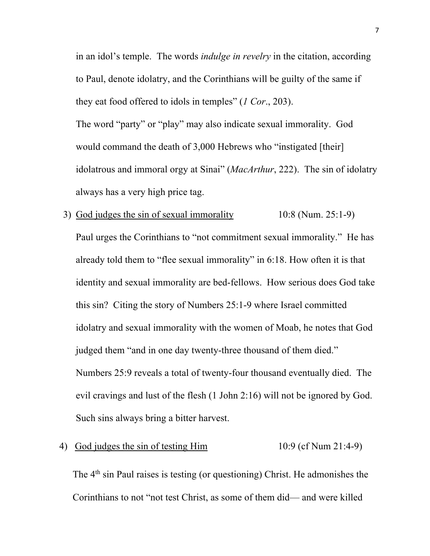in an idol's temple. The words *indulge in revelry* in the citation, according to Paul, denote idolatry, and the Corinthians will be guilty of the same if they eat food offered to idols in temples" (*1 Cor*., 203). The word "party" or "play" may also indicate sexual immorality. God would command the death of 3,000 Hebrews who "instigated [their] idolatrous and immoral orgy at Sinai" (*MacArthur*, 222). The sin of idolatry always has a very high price tag.

3) God judges the sin of sexual immorality 10:8 (Num. 25:1-9) Paul urges the Corinthians to "not commitment sexual immorality." He has already told them to "flee sexual immorality" in 6:18. How often it is that identity and sexual immorality are bed-fellows. How serious does God take this sin? Citing the story of Numbers 25:1-9 where Israel committed idolatry and sexual immorality with the women of Moab, he notes that God judged them "and in one day twenty-three thousand of them died." Numbers 25:9 reveals a total of twenty-four thousand eventually died. The evil cravings and lust of the flesh (1 John 2:16) will not be ignored by God. Such sins always bring a bitter harvest.

# 4) God judges the sin of testing Him 10:9 (cf Num 21:4-9)

The  $4<sup>th</sup>$  sin Paul raises is testing (or questioning) Christ. He admonishes the Corinthians to not "not test Christ, as some of them did— and were killed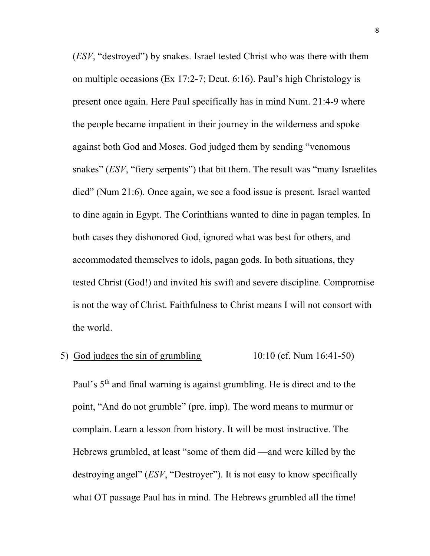(*ESV*, "destroyed") by snakes. Israel tested Christ who was there with them on multiple occasions (Ex 17:2-7; Deut. 6:16). Paul's high Christology is present once again. Here Paul specifically has in mind Num. 21:4-9 where the people became impatient in their journey in the wilderness and spoke against both God and Moses. God judged them by sending "venomous snakes" (*ESV*, "fiery serpents") that bit them. The result was "many Israelites died" (Num 21:6). Once again, we see a food issue is present. Israel wanted to dine again in Egypt. The Corinthians wanted to dine in pagan temples. In both cases they dishonored God, ignored what was best for others, and accommodated themselves to idols, pagan gods. In both situations, they tested Christ (God!) and invited his swift and severe discipline. Compromise is not the way of Christ. Faithfulness to Christ means I will not consort with the world.

# 5) God judges the sin of grumbling  $10:10$  (cf. Num  $16:41-50$ )

Paul's  $5<sup>th</sup>$  and final warning is against grumbling. He is direct and to the point, "And do not grumble" (pre. imp). The word means to murmur or complain. Learn a lesson from history. It will be most instructive. The Hebrews grumbled, at least "some of them did —and were killed by the destroying angel" (*ESV*, "Destroyer"). It is not easy to know specifically what OT passage Paul has in mind. The Hebrews grumbled all the time!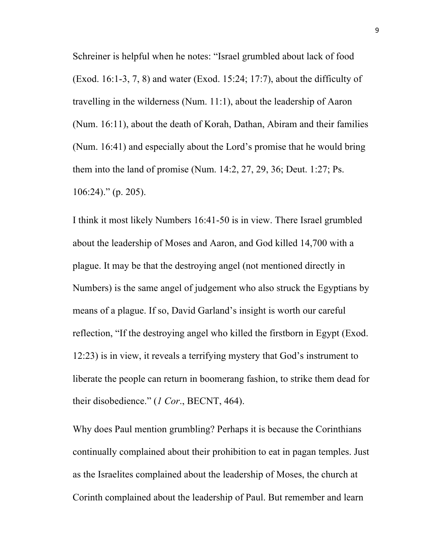Schreiner is helpful when he notes: "Israel grumbled about lack of food (Exod. 16:1-3, 7, 8) and water (Exod. 15:24; 17:7), about the difficulty of travelling in the wilderness (Num. 11:1), about the leadership of Aaron (Num. 16:11), about the death of Korah, Dathan, Abiram and their families (Num. 16:41) and especially about the Lord's promise that he would bring them into the land of promise (Num. 14:2, 27, 29, 36; Deut. 1:27; Ps.  $106:24$ ." (p. 205).

I think it most likely Numbers 16:41-50 is in view. There Israel grumbled about the leadership of Moses and Aaron, and God killed 14,700 with a plague. It may be that the destroying angel (not mentioned directly in Numbers) is the same angel of judgement who also struck the Egyptians by means of a plague. If so, David Garland's insight is worth our careful reflection, "If the destroying angel who killed the firstborn in Egypt (Exod. 12:23) is in view, it reveals a terrifying mystery that God's instrument to liberate the people can return in boomerang fashion, to strike them dead for their disobedience." (*1 Cor*., BECNT, 464).

Why does Paul mention grumbling? Perhaps it is because the Corinthians continually complained about their prohibition to eat in pagan temples. Just as the Israelites complained about the leadership of Moses, the church at Corinth complained about the leadership of Paul. But remember and learn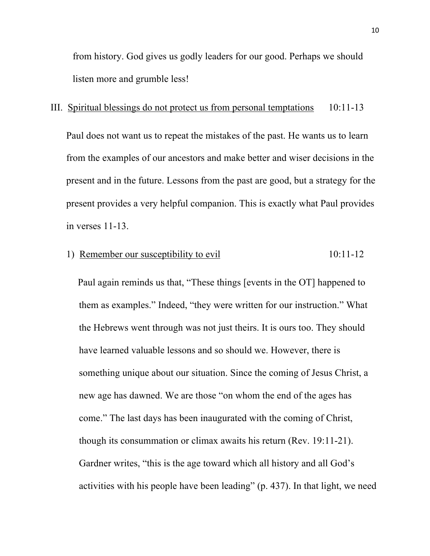from history. God gives us godly leaders for our good. Perhaps we should listen more and grumble less!

## III. Spiritual blessings do not protect us from personal temptations 10:11-13

Paul does not want us to repeat the mistakes of the past. He wants us to learn from the examples of our ancestors and make better and wiser decisions in the present and in the future. Lessons from the past are good, but a strategy for the present provides a very helpful companion. This is exactly what Paul provides in verses 11-13.

#### 1) Remember our susceptibility to evil 10:11-12

 Paul again reminds us that, "These things [events in the OT] happened to them as examples." Indeed, "they were written for our instruction." What the Hebrews went through was not just theirs. It is ours too. They should have learned valuable lessons and so should we. However, there is something unique about our situation. Since the coming of Jesus Christ, a new age has dawned. We are those "on whom the end of the ages has come." The last days has been inaugurated with the coming of Christ, though its consummation or climax awaits his return (Rev. 19:11-21). Gardner writes, "this is the age toward which all history and all God's activities with his people have been leading" (p. 437). In that light, we need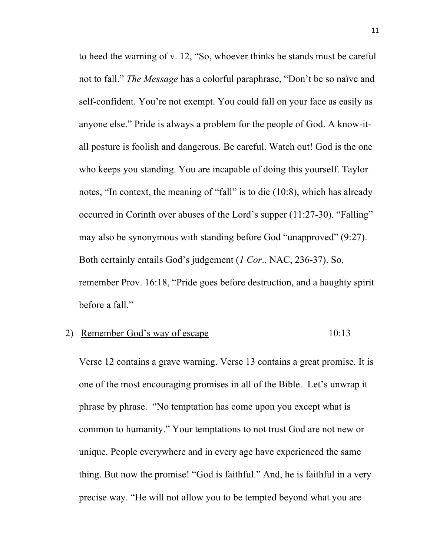to heed the warning of v. 12, "So, whoever thinks he stands must be careful not to fall." *The Message* has a colorful paraphrase, "Don't be so naïve and self-confident. You're not exempt. You could fall on your face as easily as anyone else." Pride is always a problem for the people of God. A know-itall posture is foolish and dangerous. Be careful. Watch out! God is the one who keeps you standing. You are incapable of doing this yourself. Taylor notes, "In context, the meaning of "fall" is to die (10:8), which has already occurred in Corinth over abuses of the Lord's supper (11:27-30). "Falling" may also be synonymous with standing before God "unapproved" (9:27). Both certainly entails God's judgement (*1 Cor*., NAC, 236-37). So, remember Prov. 16:18, "Pride goes before destruction, and a haughty spirit before a fall."

# 2) Remember God's way of escape 10:13

Verse 12 contains a grave warning. Verse 13 contains a great promise. It is one of the most encouraging promises in all of the Bible. Let's unwrap it phrase by phrase. "No temptation has come upon you except what is common to humanity." Your temptations to not trust God are not new or unique. People everywhere and in every age have experienced the same thing. But now the promise! "God is faithful." And, he is faithful in a very precise way. "He will not allow you to be tempted beyond what you are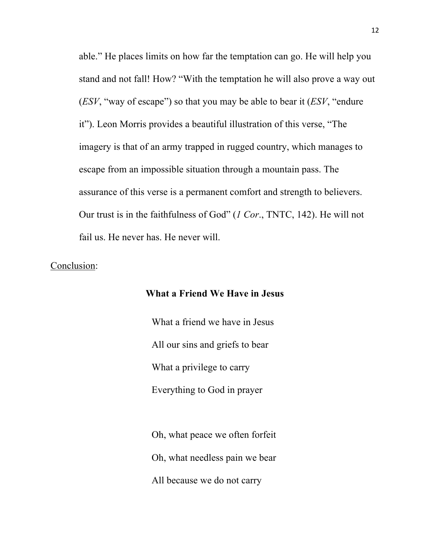able." He places limits on how far the temptation can go. He will help you stand and not fall! How? "With the temptation he will also prove a way out (*ESV*, "way of escape") so that you may be able to bear it (*ESV*, "endure it"). Leon Morris provides a beautiful illustration of this verse, "The imagery is that of an army trapped in rugged country, which manages to escape from an impossible situation through a mountain pass. The assurance of this verse is a permanent comfort and strength to believers. Our trust is in the faithfulness of God" (*1 Cor*., TNTC, 142). He will not fail us. He never has. He never will.

#### Conclusion:

### **What a Friend We Have in Jesus**

What a friend we have in Jesus All our sins and griefs to bear What a privilege to carry Everything to God in prayer

Oh, what peace we often forfeit Oh, what needless pain we bear All because we do not carry